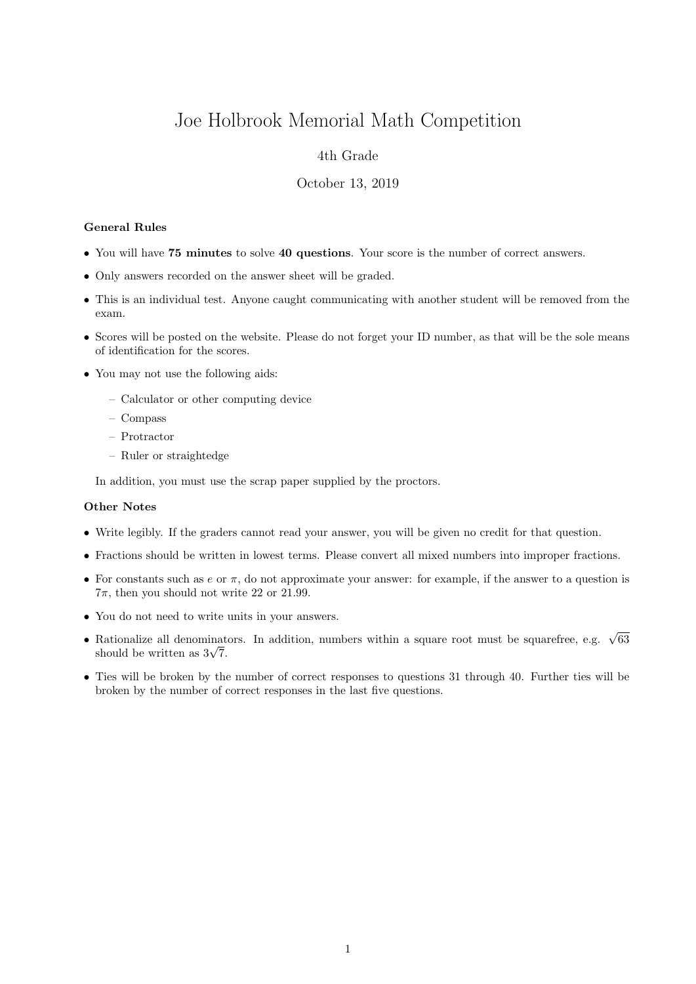# Joe Holbrook Memorial Math Competition

## 4th Grade

#### October 13, 2019

#### General Rules

- You will have 75 minutes to solve 40 questions. Your score is the number of correct answers.
- Only answers recorded on the answer sheet will be graded.
- This is an individual test. Anyone caught communicating with another student will be removed from the exam.
- Scores will be posted on the website. Please do not forget your ID number, as that will be the sole means of identification for the scores.
- You may not use the following aids:
	- Calculator or other computing device
	- Compass
	- Protractor
	- Ruler or straightedge

In addition, you must use the scrap paper supplied by the proctors.

### Other Notes

- Write legibly. If the graders cannot read your answer, you will be given no credit for that question.
- Fractions should be written in lowest terms. Please convert all mixed numbers into improper fractions.
- For constants such as  $e$  or  $\pi$ , do not approximate your answer: for example, if the answer to a question is  $7\pi$ , then you should not write 22 or 21.99.
- You do not need to write units in your answers.
- Rationalize all denominators. In addition, numbers within a square root must be squarefree, e.g.  $\sqrt{63}$ Rationalize all denominat<br>should be written as  $3\sqrt{7}$ .
- Ties will be broken by the number of correct responses to questions 31 through 40. Further ties will be broken by the number of correct responses in the last five questions.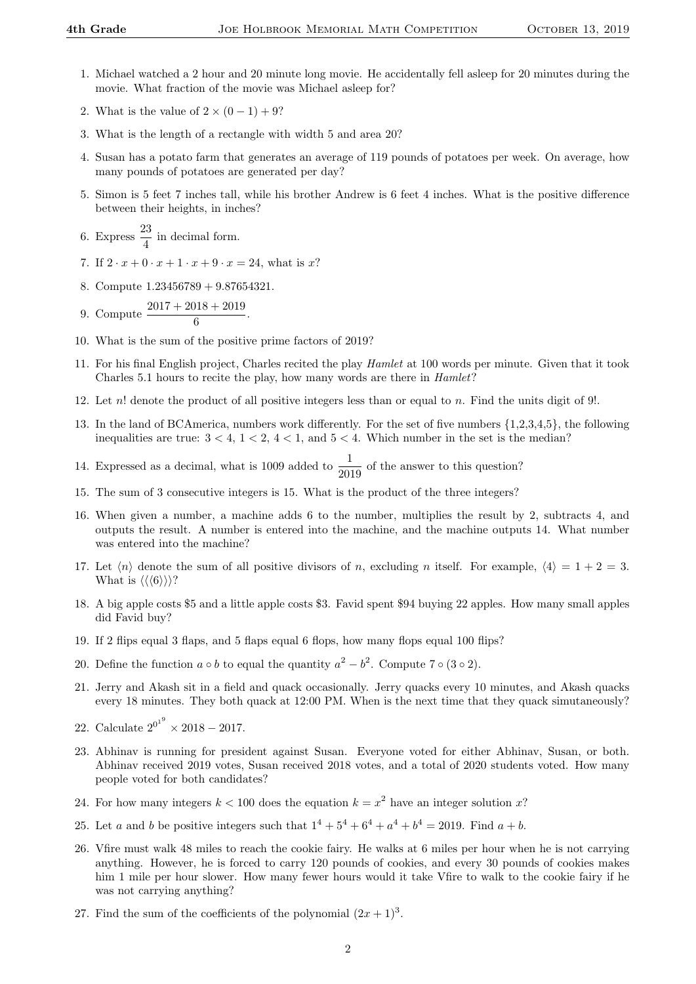- 1. Michael watched a 2 hour and 20 minute long movie. He accidentally fell asleep for 20 minutes during the movie. What fraction of the movie was Michael asleep for?
- 2. What is the value of  $2 \times (0-1) + 9$ ?
- 3. What is the length of a rectangle with width 5 and area 20?
- 4. Susan has a potato farm that generates an average of 119 pounds of potatoes per week. On average, how many pounds of potatoes are generated per day?
- 5. Simon is 5 feet 7 inches tall, while his brother Andrew is 6 feet 4 inches. What is the positive difference between their heights, in inches?
- 6. Express  $\frac{23}{4}$  in decimal form.
- 7. If  $2 \cdot x + 0 \cdot x + 1 \cdot x + 9 \cdot x = 24$ , what is x?
- 8. Compute 1.23456789 + 9.87654321.
- 9. Compute  $\frac{2017 + 2018 + 2019}{6}$ .
- 10. What is the sum of the positive prime factors of 2019?
- 11. For his final English project, Charles recited the play Hamlet at 100 words per minute. Given that it took Charles 5.1 hours to recite the play, how many words are there in Hamlet?
- 12. Let n! denote the product of all positive integers less than or equal to n. Find the units digit of 9!.
- 13. In the land of BCAmerica, numbers work differently. For the set of five numbers {1,2,3,4,5}, the following inequalities are true:  $3 < 4$ ,  $1 < 2$ ,  $4 < 1$ , and  $5 < 4$ . Which number in the set is the median?
- 14. Expressed as a decimal, what is 1009 added to  $\frac{1}{2019}$  of the answer to this question?
- 15. The sum of 3 consecutive integers is 15. What is the product of the three integers?
- 16. When given a number, a machine adds 6 to the number, multiplies the result by 2, subtracts 4, and outputs the result. A number is entered into the machine, and the machine outputs 14. What number was entered into the machine?
- 17. Let  $\langle n \rangle$  denote the sum of all positive divisors of n, excluding n itself. For example,  $\langle 4 \rangle = 1 + 2 = 3$ . What is  $\langle \langle \langle 6 \rangle \rangle \rangle$ ?
- 18. A big apple costs \$5 and a little apple costs \$3. Favid spent \$94 buying 22 apples. How many small apples did Favid buy?
- 19. If 2 flips equal 3 flaps, and 5 flaps equal 6 flops, how many flops equal 100 flips?
- 20. Define the function  $a \circ b$  to equal the quantity  $a^2 b^2$ . Compute 7  $\circ$  (3  $\circ$  2).
- 21. Jerry and Akash sit in a field and quack occasionally. Jerry quacks every 10 minutes, and Akash quacks every 18 minutes. They both quack at 12:00 PM. When is the next time that they quack simutaneously?
- 22. Calculate  $2^{0^{1^9}} \times 2018 2017$ .
- 23. Abhinav is running for president against Susan. Everyone voted for either Abhinav, Susan, or both. Abhinav received 2019 votes, Susan received 2018 votes, and a total of 2020 students voted. How many people voted for both candidates?
- 24. For how many integers  $k < 100$  does the equation  $k = x^2$  have an integer solution x?
- 25. Let a and b be positive integers such that  $1^4 + 5^4 + 6^4 + a^4 + b^4 = 2019$ . Find  $a + b$ .
- 26. Vfire must walk 48 miles to reach the cookie fairy. He walks at 6 miles per hour when he is not carrying anything. However, he is forced to carry 120 pounds of cookies, and every 30 pounds of cookies makes him 1 mile per hour slower. How many fewer hours would it take Vfire to walk to the cookie fairy if he was not carrying anything?
- 27. Find the sum of the coefficients of the polynomial  $(2x+1)^3$ .